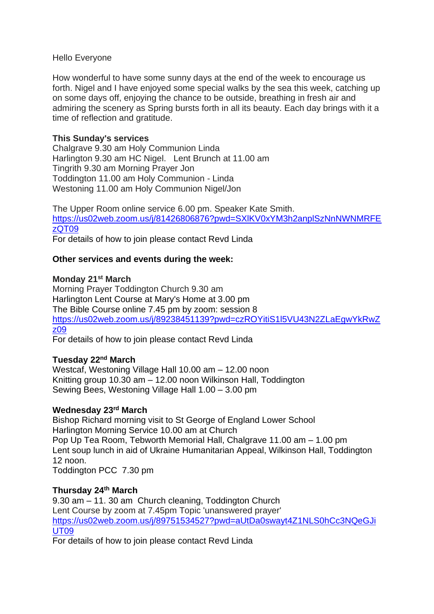#### Hello Everyone

How wonderful to have some sunny days at the end of the week to encourage us forth. Nigel and I have enjoyed some special walks by the sea this week, catching up on some days off, enjoying the chance to be outside, breathing in fresh air and admiring the scenery as Spring bursts forth in all its beauty. Each day brings with it a time of reflection and gratitude.

# **This Sunday's services**

Chalgrave 9.30 am Holy Communion Linda Harlington 9.30 am HC Nigel. Lent Brunch at 11.00 am Tingrith 9.30 am Morning Prayer Jon Toddington 11.00 am Holy Communion - Linda Westoning 11.00 am Holy Communion Nigel/Jon

The Upper Room online service 6.00 pm. Speaker Kate Smith. [https://us02web.zoom.us/j/81426806876?pwd=SXlKV0xYM3h2anplSzNnNWNMRFE](https://us02web.zoom.us/j/81426806876?pwd=SXlKV0xYM3h2anplSzNnNWNMRFEzQT09) [zQT09](https://us02web.zoom.us/j/81426806876?pwd=SXlKV0xYM3h2anplSzNnNWNMRFEzQT09)

For details of how to join please contact Revd Linda

## **Other services and events during the week:**

#### **Monday 21st March**

Morning Prayer Toddington Church 9.30 am Harlington Lent Course at Mary's Home at 3.00 pm The Bible Course online 7.45 pm by zoom: session 8 [https://us02web.zoom.us/j/89238451139?pwd=czROYitiS1l5VU43N2ZLaEgwYkRwZ](https://us02web.zoom.us/j/89238451139?pwd=czROYitiS1l5VU43N2ZLaEgwYkRwZz09) [z09](https://us02web.zoom.us/j/89238451139?pwd=czROYitiS1l5VU43N2ZLaEgwYkRwZz09)

For details of how to join please contact Revd Linda

## **Tuesday 22nd March**

Westcaf, Westoning Village Hall 10.00 am – 12.00 noon Knitting group 10.30 am – 12.00 noon Wilkinson Hall, Toddington Sewing Bees, Westoning Village Hall 1.00 – 3.00 pm

## **Wednesday 23rd March**

Bishop Richard morning visit to St George of England Lower School Harlington Morning Service 10.00 am at Church Pop Up Tea Room, Tebworth Memorial Hall, Chalgrave 11.00 am – 1.00 pm Lent soup lunch in aid of Ukraine Humanitarian Appeal, Wilkinson Hall, Toddington 12 noon.

Toddington PCC 7.30 pm

# **Thursday 24th March**

9.30 am – 11. 30 am Church cleaning, Toddington Church Lent Course by zoom at 7.45pm Topic 'unanswered prayer' [https://us02web.zoom.us/j/89751534527?pwd=aUtDa0swayt4Z1NLS0hCc3NQeGJi](https://nam12.safelinks.protection.outlook.com/?url=https%3A%2F%2Fus02web.zoom.us%2Fj%2F89751534527%3Fpwd%3DaUtDa0swayt4Z1NLS0hCc3NQeGJiUT09&data=04%7C01%7C%7C1b976348963e44262c8b08da0933cade%7C84df9e7fe9f640afb435aaaaaaaaaaaa%7C1%7C0%7C637832415292834807%7CUnknown%7CTWFpbGZsb3d8eyJWIjoiMC4wLjAwMDAiLCJQIjoiV2luMzIiLCJBTiI6Ik1haWwiLCJXVCI6Mn0%3D%7C3000&sdata=0d3nGhi8%2FblMVjnqcOERlFnTfJB00mol3roB5UeQ7sc%3D&reserved=0) [UT09](https://nam12.safelinks.protection.outlook.com/?url=https%3A%2F%2Fus02web.zoom.us%2Fj%2F89751534527%3Fpwd%3DaUtDa0swayt4Z1NLS0hCc3NQeGJiUT09&data=04%7C01%7C%7C1b976348963e44262c8b08da0933cade%7C84df9e7fe9f640afb435aaaaaaaaaaaa%7C1%7C0%7C637832415292834807%7CUnknown%7CTWFpbGZsb3d8eyJWIjoiMC4wLjAwMDAiLCJQIjoiV2luMzIiLCJBTiI6Ik1haWwiLCJXVCI6Mn0%3D%7C3000&sdata=0d3nGhi8%2FblMVjnqcOERlFnTfJB00mol3roB5UeQ7sc%3D&reserved=0)

For details of how to join please contact Revd Linda